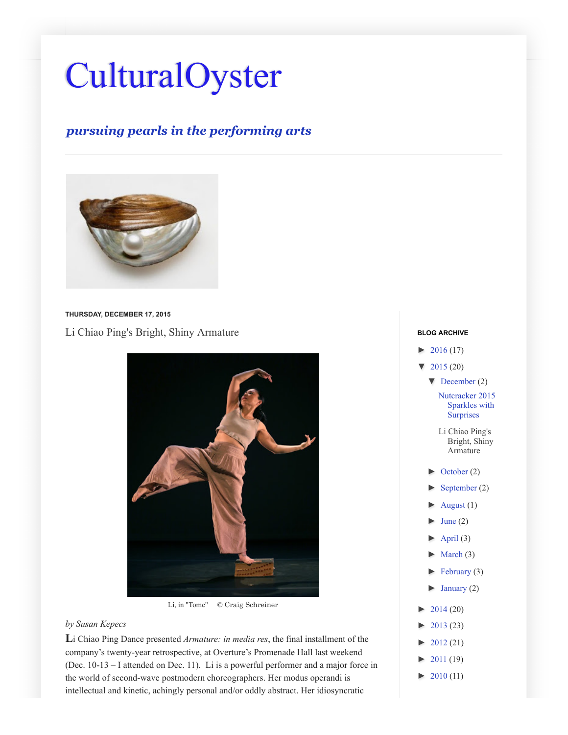# **[CulturalOyster](http://culturaloysterwut.blogspot.com/)**

## *pursuing pearls in the performing arts*



#### **THURSDAY, DECEMBER 17, 2015**

[Li Chiao Ping's Bright, Shiny Armature](http://culturaloysterwut.blogspot.com/2015/12/li-chiao-pings-bright-shiny-armature.html)



Li, in "Tome" © Craig Schreiner

### *by Susan Kepecs*

**L**i Chiao Ping Dance presented *Armature: in media res*, the final installment of the company's twenty-year retrospective, at Overture's Promenade Hall last weekend (Dec. 10-13 – I attended on Dec. 11). Li is a powerful performer and a major force in the world of second-wave postmodern choreographers. Her modus operandi is intellectual and kinetic, achingly personal and/or oddly abstract. Her idiosyncratic

#### **BLOG ARCHIVE**

- $\blacktriangleright$  [2016 \(](http://culturaloysterwut.blogspot.com/search?updated-min=2016-01-01T00:00:00-08:00&updated-max=2017-01-01T00:00:00-08:00&max-results=17)17)
- $\blacktriangledown$  [2015 \(](http://culturaloysterwut.blogspot.com/search?updated-min=2015-01-01T00:00:00-08:00&updated-max=2016-01-01T00:00:00-08:00&max-results=20)20)
	- $\blacktriangledown$  [December](http://culturaloysterwut.blogspot.com/2015_12_01_archive.html) (2) [Nutcracker 2015](http://culturaloysterwut.blogspot.com/2015/12/nutcracker-2015-sparkles-with-surprises.html) Sparkles with
		- **Surprises**
		- [Li Chiao Ping's](http://culturaloysterwut.blogspot.com/2015/12/li-chiao-pings-bright-shiny-armature.html) Bright, Shiny Armature
	- [►](javascript:void(0)) [October \(](http://culturaloysterwut.blogspot.com/2015_10_01_archive.html)2)
	- $\blacktriangleright$  [September \(](http://culturaloysterwut.blogspot.com/2015_09_01_archive.html)2)
	- [►](javascript:void(0)) [August \(](http://culturaloysterwut.blogspot.com/2015_08_01_archive.html)1)
	- June  $(2)$
	- $\blacktriangleright$  [April \(](http://culturaloysterwut.blogspot.com/2015_04_01_archive.html)3)
	- $\blacktriangleright$  [March \(](http://culturaloysterwut.blogspot.com/2015_03_01_archive.html)3)
	- [►](javascript:void(0)) [February \(](http://culturaloysterwut.blogspot.com/2015_02_01_archive.html)3)
	- $\blacktriangleright$  [January \(](http://culturaloysterwut.blogspot.com/2015_01_01_archive.html)2)
- [►](javascript:void(0)) [2014 \(](http://culturaloysterwut.blogspot.com/search?updated-min=2014-01-01T00:00:00-08:00&updated-max=2015-01-01T00:00:00-08:00&max-results=20)20)
- [►](javascript:void(0)) [2013 \(](http://culturaloysterwut.blogspot.com/search?updated-min=2013-01-01T00:00:00-08:00&updated-max=2014-01-01T00:00:00-08:00&max-results=23)23)
- $\blacktriangleright$  [2012 \(](http://culturaloysterwut.blogspot.com/search?updated-min=2012-01-01T00:00:00-08:00&updated-max=2013-01-01T00:00:00-08:00&max-results=21)21)
- [►](javascript:void(0)) [2011 \(](http://culturaloysterwut.blogspot.com/search?updated-min=2011-01-01T00:00:00-08:00&updated-max=2012-01-01T00:00:00-08:00&max-results=19)19)
- $\blacktriangleright$  [2010 \(](http://culturaloysterwut.blogspot.com/search?updated-min=2010-01-01T00:00:00-08:00&updated-max=2011-01-01T00:00:00-08:00&max-results=11)11)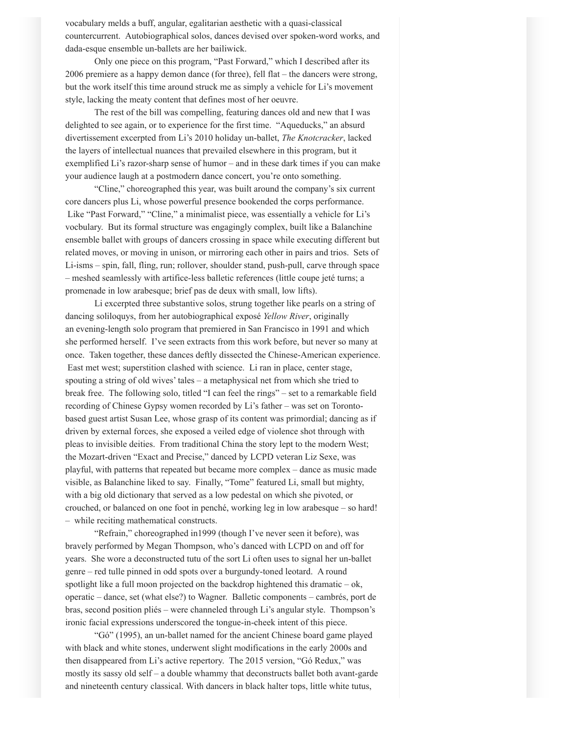vocabulary melds a buff, angular, egalitarian aesthetic with a quasi-classical countercurrent. Autobiographical solos, dances devised over spoken-word works, and dada-esque ensemble un-ballets are her bailiwick.

Only one piece on this program, "Past Forward," which I described after its 2006 premiere as a happy demon dance (for three), fell flat – the dancers were strong, but the work itself this time around struck me as simply a vehicle for Li's movement style, lacking the meaty content that defines most of her oeuvre.

The rest of the bill was compelling, featuring dances old and new that I was delighted to see again, or to experience for the first time. "Aqueducks," an absurd divertissement excerpted from Li's 2010 holiday un-ballet, *The Knotcracker*, lacked the layers of intellectual nuances that prevailed elsewhere in this program, but it exemplified Li's razor-sharp sense of humor – and in these dark times if you can make your audience laugh at a postmodern dance concert, you're onto something.

"Cline," choreographed this year, was built around the company's six current core dancers plus Li, whose powerful presence bookended the corps performance. Like "Past Forward," "Cline," a minimalist piece, was essentially a vehicle for Li's vocbulary. But its formal structure was engagingly complex, built like a Balanchine ensemble ballet with groups of dancers crossing in space while executing different but related moves, or moving in unison, or mirroring each other in pairs and trios. Sets of Li-isms – spin, fall, fling, run; rollover, shoulder stand, push-pull, carve through space – meshed seamlessly with artifice-less balletic references (little coupe jeté turns; a promenade in low arabesque; brief pas de deux with small, low lifts).

Li excerpted three substantive solos, strung together like pearls on a string of dancing soliloquys, from her autobiographical exposé *Yellow River*, originally an evening-length solo program that premiered in San Francisco in 1991 and which she performed herself. I've seen extracts from this work before, but never so many at once. Taken together, these dances deftly dissected the Chinese-American experience. East met west; superstition clashed with science. Li ran in place, center stage, spouting a string of old wives' tales – a metaphysical net from which she tried to break free. The following solo, titled "I can feel the rings" – set to a remarkable field recording of Chinese Gypsy women recorded by Li's father – was set on Torontobased guest artist Susan Lee, whose grasp of its content was primordial; dancing as if driven by external forces, she exposed a veiled edge of violence shot through with pleas to invisible deities. From traditional China the story lept to the modern West; the Mozart-driven "Exact and Precise," danced by LCPD veteran Liz Sexe, was playful, with patterns that repeated but became more complex – dance as music made visible, as Balanchine liked to say. Finally, "Tome" featured Li, small but mighty, with a big old dictionary that served as a low pedestal on which she pivoted, or crouched, or balanced on one foot in penché, working leg in low arabesque – so hard! – while reciting mathematical constructs.

"Refrain," choreographed in1999 (though I've never seen it before), was bravely performed by Megan Thompson, who's danced with LCPD on and off for years. She wore a deconstructed tutu of the sort Li often uses to signal her un-ballet genre – red tulle pinned in odd spots over a burgundy-toned leotard. A round spotlight like a full moon projected on the backdrop hightened this dramatic  $-$  ok, operatic – dance, set (what else?) to Wagner. Balletic components – cambrés, port de bras, second position pliés – were channeled through Li's angular style. Thompson's ironic facial expressions underscored the tongue-in-cheek intent of this piece.

"Gó" (1995), an un-ballet named for the ancient Chinese board game played with black and white stones, underwent slight modifications in the early 2000s and then disappeared from Li's active repertory. The 2015 version, "Gó Redux," was mostly its sassy old self – a double whammy that deconstructs ballet both avant-garde and nineteenth century classical. With dancers in black halter tops, little white tutus,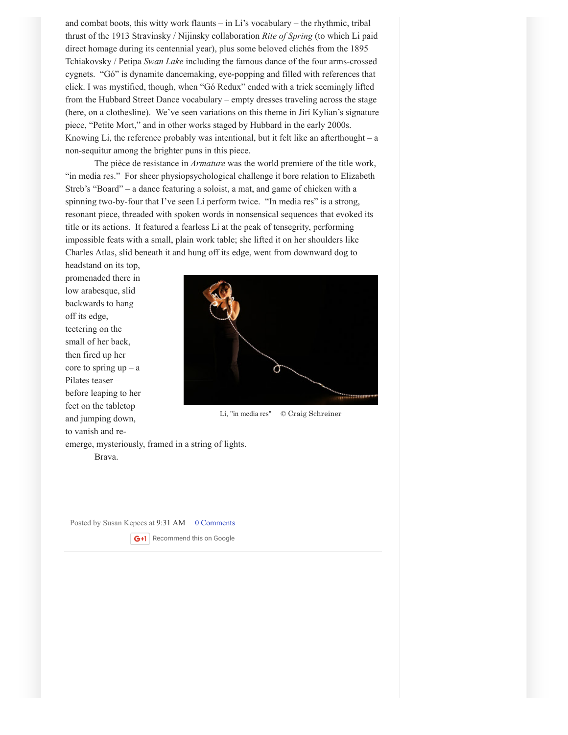and combat boots, this witty work flaunts – in Li's vocabulary – the rhythmic, tribal thrust of the 1913 Stravinsky / Nijinsky collaboration *Rite of Spring* (to which Li paid direct homage during its centennial year), plus some beloved clichés from the 1895 Tchiakovsky / Petipa *Swan Lake* including the famous dance of the four arms-crossed cygnets. "Gó" is dynamite dancemaking, eye-popping and filled with references that click. I was mystified, though, when "Gó Redux" ended with a trick seemingly lifted from the Hubbard Street Dance vocabulary – empty dresses traveling across the stage (here, on a clothesline). We've seen variations on this theme in Jirí Kylian's signature piece, "Petite Mort," and in other works staged by Hubbard in the early 2000s. Knowing Li, the reference probably was intentional, but it felt like an afterthought – a non-sequitur among the brighter puns in this piece.

The pièce de resistance in *Armature* was the world premiere of the title work, "in media res." For sheer physiopsychological challenge it bore relation to Elizabeth Streb's "Board" – a dance featuring a soloist, a mat, and game of chicken with a spinning two-by-four that I've seen Li perform twice. "In media res" is a strong, resonant piece, threaded with spoken words in nonsensical sequences that evoked its title or its actions. It featured a fearless Li at the peak of tensegrity, performing impossible feats with a small, plain work table; she lifted it on her shoulders like Charles Atlas, slid beneath it and hung off its edge, went from downward dog to

headstand on its top, promenaded there in low arabesque, slid backwards to hang off its edge, teetering on the small of her back, then fired up her core to spring  $up - a$ Pilates teaser – before leaping to her feet on the tabletop and jumping down, to vanish and re-



Li, "in media res" © Craig Schreiner

emerge, mysteriously, framed in a string of lights.

Brava.

Posted by Susan Kepecs at [9:31 AM](http://culturaloysterwut.blogspot.com/2015/12/li-chiao-pings-bright-shiny-armature.html) [0 Comments](http://culturaloysterwut.blogspot.com/2015/12/li-chiao-pings-bright-shiny-armature.html#disqus_thread)

**G+1** Recommend this on Google